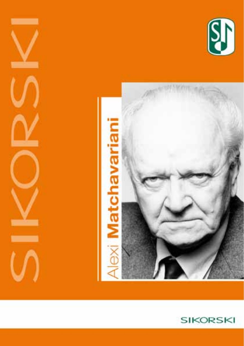





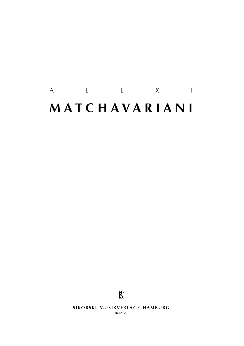# A L E X I **m a t c h a v a r i a n i**



**SIKORSKI MUSIKVERLAGE HAMBURG** 

**sik 4/5650**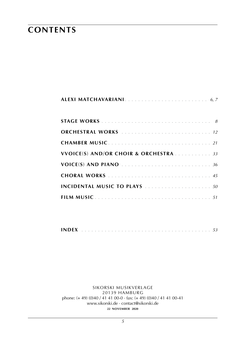## **contents**

| ORCHESTRAL WORKS  12                  |
|---------------------------------------|
| <b>CHAMBER MUSIC</b> 21               |
| VVOICE(S) AND/OR CHOIR & ORCHESTRA 33 |
|                                       |
|                                       |
|                                       |
|                                       |

|--|

sikorski Musikverlage 20139 hamburg phone: (+ 49) (0)40 / 41 41 00-0 · fax: (+ 49) (0)40 / 41 41 00-41 www.sikorski.de · contact@sikorski.de **22 november 2020**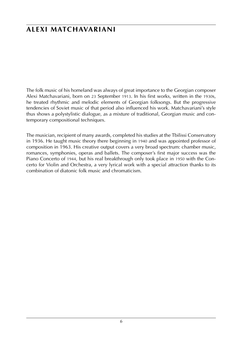### **alexi matchavariani**

The folk music of his homeland was always of great importance to the Georgian composer Alexi Matchavariani, born on 23 September 1913. In his first works, written in the 1930s, he treated rhythmic and melodic elements of Georgian folksongs. But the progressive tendencies of Soviet music of that period also influenced his work. Matchavariani's style thus shows a polystylistic dialogue, as a mixture of traditional, Georgian music and contemporary compositional techniques.

The musician, recipient of many awards, completed his studies at the Tbilissi Conservatory in 1936. He taught music theory there beginning in 1940 and was appointed professor of composition in 1963. His creative output covers a very broad spectrum: chamber music, romances, symphonies, operas and ballets. The composer's first major success was the Piano Concerto of 1944, but his real breakthrough only took place in 1950 with the Concerto for Violin and Orchestra, a very lyrical work with a special attraction thanks to its combination of diatonic folk music and chromaticism.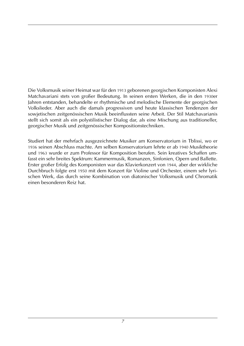Die Volksmusik seiner Heimat war für den 1913 geborenen georgischen Komponisten Alexi Matchavariani stets von großer Bedeutung. In seinen ersten Werken, die in den 1930er Jahren entstanden, behandelte er rhythmische und melodische Elemente der georgischen Volkslieder. Aber auch die damals progressiven und heute klassischen Tendenzen der sowjetischen zeitgenössischen Musik beeinflussten seine Arbeit. Der Stil Matchavarianis stellt sich somit als ein polystilistischer Dialog dar, als eine Mischung aus traditioneller, georgischer Musik und zeitgenössischer Kompositionstechniken.

Studiert hat der mehrfach ausgezeichnete Musiker am Konservatorium in Tblissi, wo er 1936 seinen Abschluss machte. Am selben Konservatorium lehrte er ab 1940 Musiktheorie und 1963 wurde er zum Professor für Komposition berufen. Sein kreatives Schaffen umfasst ein sehr breites Spektrum: Kammermusik, Romanzen, Sinfonien, Opern und Ballette. Erster großer Erfolg des Komponisten war das Klavierkonzert von 1944, aber der wirkliche Durchbruch folgte erst 1950 mit dem Konzert für Violine und Orchester, einem sehr lyrischen Werk, das durch seine Kombination von diatonischer Volksmusik und Chromatik einen besonderen Reiz hat.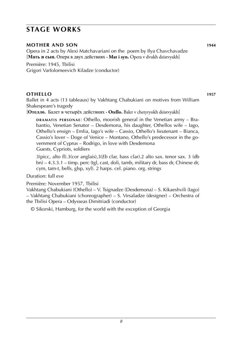#### **mother and son 1944**

Opera in 2 acts by Alexi Matchavariani on the poem by Ilya Chavchavadze [**Мать и сын.** Опера в двух действиях **· Mat i syn.** Opera v dvukh deistvyakh]

Première: 1945, Tbilisi Grigori Varfolomeevich Kiladze (conductor)

#### **othello 1957**

Ballet in 4 acts (13 tableaux) by Vakhtang Chabukiani on motives from William Shakespeare's tragedy

[**Отелло.** Балет в четырёх действиях **· Otello.** Balet v chetyryokh deistvyakh]

**DRAMATIS PERSONAE:** Othello, moorish general in the Venetian army – Brabantio, Venetian Senator – Desdemona, his daughter, Othellos wife – Iago, Othello's ensign – Emlia, Iago's wife – Cassio, Othello's lieutenant – Bianca, Cassio's lover – Doge of Venice – Montano, Othello's predecessor in the government of Cyprus – Rodrigo, in love with Desdemona Guests, Cypriots, soldiers

3(picc, alto fl).3(cor anglais),3(*Eb* clar, bass clar).2 alto sax. tenor sax. 3 (db bn) – 4.3.3.1 – timp. perc (tgl, cast, doli, tamb, military dr, bass dr, Chinese dr, cym, tam-t, bells, glsp, xyl). 2 harps. cel. piano. org. strings

Duration: full eve

Première: November 1957, Tbilisi

Vakhtang Chabukiani (Othello) – V. Tsignadze (Desdemona) – S. Kikaeshvili (Iago) – Vakhtang Chabukiani (choreographer) – S. Virsaladze (designer) – Orchestra of the Tbilisi Opera – Odysseas Dimitriadi (conductor)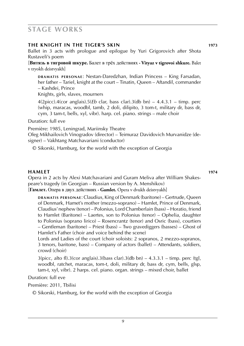#### **the knight in the tiger's skin 1973**

Ballet in 3 acts with prologue and epilogue by Yuri Grigorovich after Shota Rustaveli's poem

[**Витязь в тигровой шкуре.** Балет в трёх действиях **· Vityaz v tigrovoi shkure.** Balet v tryokh deistvyakh]

**DRAMATIS PERSONAE: Nestan-Daredzhan, Indian Princess – King Farsadan,** her father – Tariel, knight at the court – Tinatin, Queen – Aftandil, commander – Kashdei, Prince

Knights, girls, slaves, mourners

 $4(2picc)$ . $4(cor$  anglais). $5(Eb$  clar, bass clar). $3(db$  bn) –  $4.4.3.1$  – timp. perc (whip, maracas, woodbl, tamb, 2 doli, dilipito, 3 tom-t, military dr, bass dr, cym, 3 tam-t, bells, xyl, vibr). harp. cel. piano. strings – male choir

Duration: full eve

Première: 1985, Leningrad, Mariinsky Theatre

Oleg Mikhailovich Vinogradov (director) – Teimuraz Davidovich Murvanidze (designer) – Vakhtang Matchavariani (conductor)

© Sikorski, Hamburg, for the world with the exception of Georgia

**hamlet 1974** Opera in 2 acts by Alexi Matchavariani and Guram Meliva after William Shakespeare's tragedy (in Georgian – Russian version by A. Menshikov) [**Гамлет.** Опера в двух действиях **· Gamlet.** Opera v dvukh deistvyakh]

**d r a m at i s p e r s o n a e** : Claudius, King of Denmark (baritone) – Gertrude, Queen of Denmark, Hamet's mother (mezzo-soprano) – Hamlet, Prince of Denmark, Claudius' nephew (tenor) – Polonius, Lord Chamberlain (bass) – Horatio, friend to Hamlet (Baritone) – Laertes, son to Polonius (tenor) – Ophelia, daughter to Polonius (soprano lirico) – Rosencrantz (tenor) and Osric (bass), courtiers – Gentleman (baritone) – Priest (bass) – Two gravediggers (basses) – Ghost of Hamlet's Father (choir and voice behind the scene)

Lords and Ladies of the court (choir soloists: 2 sopranos, 2 mezzo-sopranos, 3 tenors, baritone, bass) – Company of actors (ballet) – Attendants, soldiers, crowd (choir)

 $3(picc, alto fl).3(cor anglais).3(bass clar).3(db bn) – 4.3.3.1 – timp. perc (tgl,$ woodbl, ratchet, maracas, tom-t, doli, military dr, bass dr, cym, bells, glsp, tam-t, xyl, vibr). 2 harps. cel. piano. organ. strings – mixed choir, ballet

Duration: full eve

Première: 2011, Tbilisi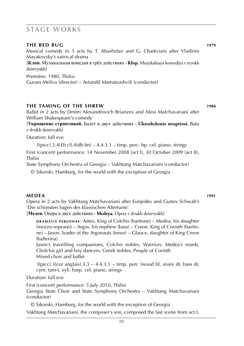| THE BED BUG                                                                       | 1979 |
|-----------------------------------------------------------------------------------|------|
| Musical comedy in 3 acts by T. Abashidze and G. Charkviani after Vladimir         |      |
| Mayakovsky's satirical drama                                                      |      |
| [Клоп. Музыкальная комедия в трёх действиях • Klop. Muzykalnaya komediya v tryokh |      |
| deistvvakh]                                                                       |      |
| Première: 1980, Tbilisi                                                           |      |
| Guram Meliva (director) – Avtandil Mamatsashvili (conductor)                      |      |
|                                                                                   |      |
|                                                                                   |      |

#### **the taming of the shrew 1984**

Ballet in 2 acts by Dmitri Alexandrovich Brianzev and Alexi Matchavariani after William Shakespeare's comedy

[**Укрощение строптивой.** Балет в двух действиях **· Ukroshchenie stroptivoi.** Balet v dvukh deistvyakh]

Duration: full eve

3(picc).3.4(*Eb* cl).4(db bn) – 4.4.3.1 – timp. perc. hp. cel. piano. strings

First (concert) performance: 14 November 2008 (act I), 30 October 2009 (act II), Tbilisi

State Symphony Orchestra of Georgia – Vakhtang Matchavariani (conductor)

© Sikorski, Hamburg, for the world with the exception of Georgia

**medea 1991** Opera in 2 acts by Vakhtang Matchavariani after Euripides and Gustav Schwab's 'Die schönsten Sagen des klassischen Altertums'

[**Медея.** Опера в двух действиях **· Medeya.** Opera v dvukh deistvyakh]

**DRAMATIS PERSONAE:** Aëtes, King of Colchis (baritone) – Medea, his daughter (mezzo-soprano) – Argos, his nephew (bass) – Creon, King of Corinth (baritone) – Jason, leader of the Argonauts (tenor) – Glauce, daughter of King Creon (ballerina)

Jason's traveliling companions, Colchis nobles, Warriors, Medea's maids, Cholchis girl and boy dancers, Greek nobles, People of Corinth Mixed choir and ballet

 $3(pice).3(cor$  anglais).3.3 – 4.4.3.1 – timp. perc (wood bl, snare dr, bass dr, cym, tam-t, xyl). harp. cel. piano. strings

Duration: full eve

First (concert) performance: 5 July 2010, Tbilisi

Georgia State Choir and State Symphony Orchestra – Vakhtang Matchavariani (conductor)

© Sikorski, Hamburg, for the world with the exception of Georgia Vakhtang Matchavariani, the composer's son, composed the last scene from act I.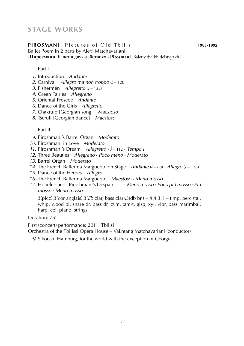#### **PIROSMANI** Pictures of Old Thilisi **1985-1992**

Ballet Poem in 2 parts by Alexi Matchavariani [**Пиросмани.** Балет в двух действиях **· Pirosmani.** Balet v dvukh deistvyakh]

Part I

- *1.* Introduction *Andante*
- *2.* Carnival *Allegro ma non troppo* ( $\sqrt{ }$  = 120)
- *3.* Fishermen *Allegretto* ( $\sqrt{ }$  = 132)
- *4.* Green Fairies *Allegretto*
- *5.* Oriental Frescoe *Andante*
- *6.* Dance of the Girls *Allegretto*
- *7.* Chakrulo [Georgian song] *Maestoso*
- *8.* Tseruli [Georgian dance] *Maestoso*

Part II

- *9.* Piroshmani's Barrel Organ *Moderato*
- *10.* Piroshmani in Love *Moderato*
- *11.* Piroshmani's Dream *Allegretto* **·** q = 112 **·** *Tempo I*
- *12.* Three Beauties *Allegretto* **·** *Poco meno* **·** *Moderato*
- *13.* Barrel Organ *Moderato*
- *14.* The French Ballerina Marguerite on Stage *Andante* (q = 80) **·** *Allegro* (q = 138)
- *15.* Dance of the Heroes *Allegro*
- *16.* The French Ballerina Marguerite *Maestoso* **·** *Meno mosso*
- *17.* Hopelessness. Piroshmani's Despair *––* **·** *Meno mosso* **·** *Poco più mosso* **·** *Più mosso* **·** *Meno mosso*

3(picc).3(cor anglais).3(*Eb* clar, bass clar).3(db bn) – 4.4.3.1 – timp. perc (tgl, whip, wood bl, snare dr, bass dr, cym, tam-t, glsp, xyl, vibr, bass marimba). harp. cel. piano. strings

Duration: 75'

First (concert) performance: 2011, Tbilisi

Orchestra of the Tbilissi Opera House – Vakhtang Matchavariani (conductor)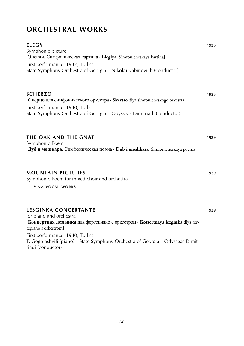| <b>ELEGY</b><br>Symphonic picture<br>[Элегия. Симфоническая картина · Elegiya. Simfonicheskaya kartina]<br>First performance: 1937, Tbilissi<br>State Symphony Orchestra of Georgia - Nikolai Rabinovich (conductor)                                                                                            | 1936 |
|-----------------------------------------------------------------------------------------------------------------------------------------------------------------------------------------------------------------------------------------------------------------------------------------------------------------|------|
| <b>SCHERZO</b><br>[Скерцо для симфонического оркестра · Skertso dlya simfonicheskogo orkestra]<br>First performance: 1940, Tbilissi<br>State Symphony Orchestra of Georgia - Odysseas Dimitriadi (conductor)                                                                                                    | 1936 |
| THE OAK AND THE GNAT<br>Symphonic Poem<br>[Дуб и мошкара. Симфоническая поэма · Dub i moshkara. Simfonicheskaya poema]                                                                                                                                                                                          | 1939 |
| <b>MOUNTAIN PICTURES</b><br>Symphonic Poem for mixed choir and orchestra<br>▶ see: VOCAL WORKS                                                                                                                                                                                                                  | 1939 |
| <b>LESGINKA CONCERTANTE</b><br>for piano and orchestra<br>[Концертная лезгинка для фортепиано с оркестром · Kotsertnaya lezginka dlya for-<br>tepiano s orkestrom]<br>First performance: 1940, Tbilissi<br>T. Gogolashvili (piano) - State Symphony Orchestra of Georgia - Odysseas Dimit-<br>riadi (conductor) | 1939 |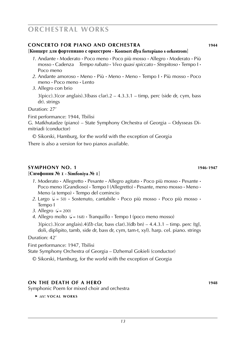#### **concerto for piano and orchestra 1944**

#### [**Концерт для фортепиано с оркестром · Kontsert dlya fortepiano s orkestrom**]

- *1.* Andante **·** Moderato **·** Poco meno **·** Poco più mosso **·** Allegro **·** Moderato **·** Più mosso **·** Cadenza *Tempo rubato* **·** *Vivo quasi spiccato* **·** *Strepitoso* **·** Tempo I **·** Poco meno
- *2.* Andante amoroso **·** Meno **·** Più **·** Meno **·** Meno **·** Tempo I **·** Più mosso **·** Poco meno **·** Poco meno **·** Lento
- *3.* Allegro con brio

 $3(picc).3(cor anglais).3(bass clar).2 - 4.3.3.1 - timp, perc (side dr, cym, bass)$ dr). strings

Duration: 27'

First performance: 1944, Tbilisi

G. Matkhutadze (piano) – State Symphony Orchestra of Georgia – Odysseas Dimitriadi (conductor)

© Sikorski, Hamburg, for the world with the exception of Georgia

There is also a version for two pianos available.

#### **symphony no. 1 1946**-**1947**

#### [**Симфония № 1 · Simfoniya № 1**]

- *1.* Moderato **·** Allegretto **·** Pesante **·** Allegro agitato **·** Poco più mosso **·** Pesante **·** Poco meno (Grandioso) **·** Tempo I (Allegretto) **·** Pesante, meno mosso **·** Meno **·** Meno (a tempo) **·** Tempo del comincio
- *2.* Largo (q = 50) **·** Sostenuto, cantabile **·** Poco più mosso **·** Poco più mosso **·** Tempo I
- *3.* Allegro  $\mathcal{L} = 200$
- *4.* Allegro molto  $(l = 168)$  · Tranquillo · Tempo I (poco meno mosso) 3(picc).3(cor anglais).4(*Eb* clar, bass clar).3(db bn) – 4.4.3.1 – timp. perc (tgl, doli, diplipito, tamb, side dr, bass dr, cym, tam-t, xyl). harp. cel. piano. strings

Duration: 42'

First performance: 1947, Tbilisi State Symphony Orchestra of Georgia – Dzhemal Gokieli (conductor)

© Sikorski, Hamburg, for the world with the exception of Georgia

#### **on the death of a hero 1948**

Symphonic Poem for mixed choir and orchestra

 ► *see:* **v o c a l w o r k s**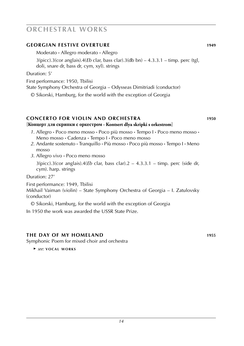#### **georgian festive overture 1949**

Moderato **·** Allegro moderato **·** Allegro

3(picc).3(cor anglais).4(*Eb* clar, bass clar).3(db bn) – 4.3.3.1 – timp. perc (tgl, doli, snare dr, bass dr, cym, xyl). strings

Duration: 5'

First performance: 1950, Tbilisi

State Symphony Orchestra of Georgia – Odysseas Dimitriadi (conductor)

© Sikorski, Hamburg, for the world with the exception of Georgia

#### **concerto for violin and orchestra 1950** [**Концерт для скрипки с оркестром · Kontsert dlya skripki s orkestrom**]

- *1.* Allegro **·** Poco meno mosso **·** Poco più mosso **·** Tempo I **·** Poco meno mosso **·** Meno mosso **·** Cadenza **·** Tempo I **·** Poco meno mosso
- *2.* Andante sostenuto **·** Tranquillo **·** Più mosso **·** Poco più mosso **·** Tempo I **·** Meno mosso
- *3.* Allegro vivo **·** Poco meno mosso

3(picc).3(cor anglais).4(*Eb* clar, bass clar).2 – 4.3.3.1 – timp. perc (side dr, cym). harp. strings

Duration: 27'

First performance: 1949, Tbilisi

Mikhail Vaiman (violin) – State Symphony Orchestra of Georgia – I. Zatulovsky (conductor)

© Sikorski, Hamburg, for the world with the exception of Georgia

In 1950 the work was awarded the USSR State Prize.

#### **The day of my homeland 1955**

Symphonic Poem for mixed choir and orchestra

 ► *see:* **v o c a l w o r k s**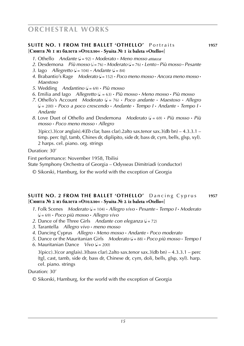#### **SUITE NO. 1 FROM THE BALLET 'OTHELLO'** Portraits **1957** [**Сюита № 1 из балета »Отелло« · Syuita № 1 iz baleta »Otello«**]

- *1.* Othello *Andante* (q = 92) **·** *Moderato* **·** *Meno mosso attacca*
- 2. Desdemona *Più mosso (* $\epsilon = 76$ *)* **·** *Moderato (* $\epsilon = 76$ *)* **·** *Lento* **·** *Più mosso* **·** *Pesante*
- *3.* Iago *Allegretto*  $(d = 104)$  **·** *Andante*  $(d = 84)$
- *4.* Brabantio's Rage *Moderato* (q = 152) **·** *Poco meno mosso* **·** *Ancora meno mosso* **·** *Maestoso*
- *5.* Wedding *Andantino* (q = 69) **·** *Più mosso*
- $6.$  Emilia and lago *Allegretto*  $(d = 63) \cdot P$ *iù mosso*  $\cdot$  *Meno mosso*  $\cdot$  *Più mosso*
- *7.* Othello's Account *Moderato* (q = 76) **·** *Poco andante* **·** *Maestoso* **·** *Allegro* (q = 200) **·** *Poco a poco crescendo* **·** *Andante* **·** *Tempo I* **·** *Andante* **·** *Tempo I* **·** *Andante*
- *8.* Love Duet of Othello and Desdemona *Moderato* (q = 69) **·** *Più mosso* **·** *Più mosso* **·** *Poco meno mosso* **·** *Allegro*

3(picc).3(cor anglais).4(*Eb* clar, bass clar).2alto sax.tenor sax.3(db bn) – 4.3.3.1 – timp. perc (tgl, tamb, Chines dr, diplipito, side dr, bass dr, cym, bells, glsp, xyl). 2 harps. cel. piano. org. strings

Duration: 30'

First performance: November 1958, Tbilisi

State Symphony Orchestra of Georgia – Odysseas Dimitriadi (conductor)

© Sikorski, Hamburg, for the world with the exception of Georgia

#### **SUITE NO. 2 FROM THE BALLET 'OTHELLO'** Dancing Cyprus 1957 [**Сюита № 2 из балета »Отелло« · Syuita № 2 iz baleta »Otello«**]

- *1.* Folk Scenes *Moderato* (q = 104) **·** *Allegro vivo* **·** *Pesante* **·** *Tempo I* **·** *Moderato* (q = 69) **·** *Poco più mosso* **·** *Allegro vivo*
- *2.* Dance of the Three Girls *Andante con eleganza* ( $\sqrt{ }$  = 72)
- *3.* Tarantella *Allegro vivo* **·** *meno mosso*
- *4.* Dancing Cyprus *Allegro* **·** *Meno mosso* **·** *Andante* **·** *Poco moderato*
- *5.* Dance or the Mauritanian Girls *Moderato* (q = 88) **·** *Poco più mosso* **·** *Tempo I*
- *6.* Mauritanian Dance *Vivo*  $\mathcal{L} = 200$

3(picc).3(cor anglais).3(bass clar).2alto sax.tenor sax.3(db bn) – 4.3.3.1 – perc (tgl, cast, tamb, side dr, bass dr, Chinese dr, cym, doli, bells, glsp, xyl). harp. cel. piano. strings

Duration: 30'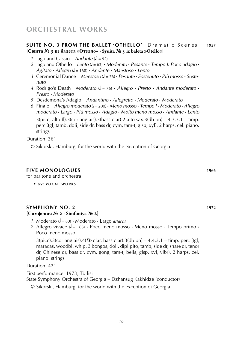#### **SUITE NO. 3 FROM THE BALLET 'OTHELLO'** Dramatic Scenes 1957 [**Сюита № 3 из балета »Отелло« · Syuita № 3 iz baleta »Otello«**]

- *1.* Jago and Cassio *Andante*  $\mathcal{L} = 92$
- 2. Iago and Othello *Lento*  $(d = 63)$  **·** *Moderato* **·** *Pesante* · *Tempo I. Poco adagio* · *Agitato* **·** *Allegro* (q = 168) **·** *Andante* **·** *Maestoso* **·** *Lento*
- *3.* Ceremonial Dance *Maestoso* (q . = 76) **·** *Pesante* **·** *Sostenuto* **·** *Più mosso* **·** *Soste nuto*
- *4.* Rodrigo's Death *Moderato* (q = 76) **·** *Allegro* **·** *Presto* **·** *Andante moderato* **·** *Presto* **·** *Moderato*
- *5.* Desdemona's Adagio *Andantino* **·** *Allegretto* **·** *Moderato* **·** *Moderato*
- *6.* Finale *Allegro moderato* (q = 200) **·** *Meno mosso* **·** *Tempo I* **·** *Moderato* **·** *Allegro moderato* **·** *Largo* **·** *Più mosso* **·** *Adagio* **·** *Molto meno mosso* **·** *Andante* **·** *Lento*  $3(pice, alto fl).3(cor anglais).3(bass clar).2 alto sax.3(db bn) – 4.3.3.1 – timp.$ perc (tgl, tamb, doli, side dr, bass dr, cym, tam-t, glsp, xyl). 2 harps. cel. piano.

strings Duration: 36'

© Sikorski, Hamburg, for the world with the exception of Georgia

#### **five monologues 1966**

for baritone and orchestra

 ► *see:* **v o c a l w o r k s**

#### **symphony no. 2 1972** [**Симфония № 2 · Simfoniya № 2**]

- *1.* Moderato (q = 80) **·** Moderato **·** Largo *attacca*
- 2. Allegro vivace  $\mathcal{L} = 168$  Poco meno mosso Meno mosso Tempo primo Poco meno mosso

3(picc).3(cor anglais).4(*Eb* clar, bass clar).3(db bn) – 4.4.3.1 – timp. perc (tgl, maracas, woodbl, whip, 3 bongos, doli, diplipito, tamb, side dr, snare dr, tenor dr, Chinese dr, bass dr, cym, gong, tam-t, bells, glsp, xyl, vibr). 2 harps. cel. piano. strings

Duration: 42'

First performance: 1973, Tbilisi

State Symphony Orchestra of Georgia – Dzhansug Kakhidze (conductor)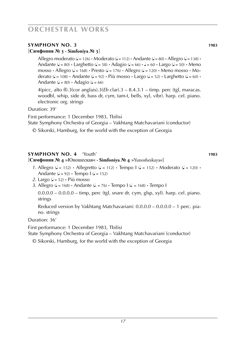#### **symphony no. 3 1983**

#### [**Симфония № 3 · Simfoniya № 3**]

Allegro moderato  $(J = 126)$  **·** Moderato  $(J = 112)$  **·** Andante  $(J = 80)$  **·** Allegro  $(J = 138)$  **·** Andante  $(\sqrt{a} = 80) \cdot$  Larghetto  $(\sqrt{a} = 58) \cdot$  Adagio  $(\sqrt{a} = 66) \cdot$   $\sqrt{a} = 60 \cdot$  Largo  $(\sqrt{a} = 50) \cdot$  Meno  $mosso \cdot$  Allegro ( $= 168$ )  $\cdot$  Presto ( $= 176$ )  $\cdot$  Allegro ( $= 120$ )  $\cdot$  Meno mosso  $\cdot$  Moderato ( $\mathbf{J} = 108$ ) **·** Andante ( $\mathbf{J} = 92$ ) **·** Più mosso **·** Largo ( $\mathbf{J} = 52$ ) **·** Larghetto ( $\mathbf{J} = 60$ ) **·** Andante ( $\sqrt{=}$  = 80) **·** Adagio ( $\sqrt{}=$  66)

 $4$ (picc, alto fl).3(cor anglais).3(*Eb* clar).3 – 8.4.3.1 – timp. perc (tgl, maracas. woodbl, whip, side dr, bass dr, cym, tam-t, bells, xyl, vibr). harp. cel. piano. electronic org. strings

Duration: 39'

First performance: 1 December 1983, Tbilisi

State Symphony Orchestra of Georgia – Vakhtang Matchavariani (conductor)

© Sikorski, Hamburg, for the world with the exception of Georgia

#### **symphony no. 4** 'Youth' **1983**

#### [**Симфония № 4** »Юношеская« **· Simfoniya № 4** »Yunosheskaya«]

- *1.* Allegro ( $d = 152$ ) **·** Allegretto ( $d = 112$ ) **·** Tempo  $d = 152$ ) **·** Moderato ( $d = 120$ ) **·** Andante  $\mathcal{L} = 92$  **·** Tempo  $\mathcal{L} = 152$
- 2. Largo  $\mathcal{L} = 52$ ) **·** Più mosso

*3.* Allegro ( $\sqrt{ }$  = 168) **·** Andante ( $\sqrt{ }$  = 76) **·** Tempo I ( $\sqrt{ }$  = 168) **·** Tempo I

 $0.0.0.0 - 0.0.0.0 - \text{time}$ , perc (tgl, snare dr, cym, glsp, xyl). harp. cel. piano. strings

Reduced version by Vakhtang Matchavariani: 0.0.0.0 – 0.0.0.0 – 1 perc. piano. strings

#### Duration: 36'

First performance: 1 December 1983, Tbilisi

State Symphony Orchestra of Georgia – Vakhtang Matchavariani (conductor)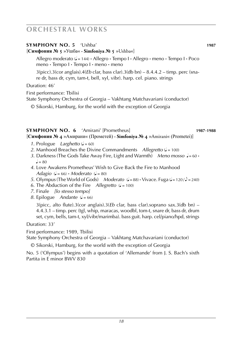| <b>SYMPHONY NO. 5 'Ushba'</b><br>[Симфония № 5 »Ушба« • Simfoniya № 5 »Ushba«]                                                                                           | 1987 |
|--------------------------------------------------------------------------------------------------------------------------------------------------------------------------|------|
| Allegro moderato ( $J = 144$ ) $\cdot$ Allegro $\cdot$ Tempo $I \cdot$ Allegro $\cdot$ meno $\cdot$ Tempo $I \cdot$ Poco<br>meno · Tempo I · Tempo I · meno · meno       |      |
| $3(picc)$ .3(cor anglais).4( <i>Eb</i> clar, bass clar).3(db bn) – 8.4.4.2 – timp. perc (sna-<br>re dr, bass dr, cym, tam-t, bell, xyl, vibr). harp. cel. piano. strings |      |
| Duration: 46'                                                                                                                                                            |      |
| First performance: Tbilisi<br>State Symphony Orchestra of Georgia – Vakhtang Matchavariani (conductor)                                                                   |      |
| © Sikorski, Hamburg, for the world with the exception of Georgia                                                                                                         |      |

#### **symphony no. 6** 'Amirani' [Prometheus] **1987**-**1988**

[**Симфония № 4** »Амирани« (Прометей) **· Simfoniya № 4** »Amirani« (Prometei)]

- *1.* Prologue *Larghetto*  $\mathcal{L} = 60$
- *2.* Manhood Breaches the Divine Commandments *Allegretto* ( $J = 100$ )
- 3. Darkness (The Gods Take Away Fire, Light and Warmth) *Meno mosso*  $J = 60$  **·**  $l = 80$
- *4.* Love Awakens Prometheus' Wish to Give Back the Fire to Manhood  $Adagio$  ( $J = 66$ ) **·** *Moderato* ( $J = 80$ )
- *5.* Olympus (The World of Gods) *Moderato*  $(J = 88) \cdot \text{Vivace}$ . Fuga  $(J = 120 / J = 240)$
- 6. The Abduction of the Fire *Allegretto*  $(l = 100)$
- *7.* Finale *[lo stesso tempo]*
- *8.* Epilogue *Andante* ( $\sqrt{ }$  = 66)

3(picc, alto flute).3(cor anglais).3(*Eb* clar, bass clar).soprano sax.3(db bn) – 4.4.3.1 – timp. perc (tgl, whip, maracas, woodbl, tom-t, snare dr, bass dr, drum set, cym, bells, tam-t, xyl/vibr/marimba). bass guit. harp. cel/piano/hpd, strings

Duration: 33'

First performance: 1989, Tbilisi

State Symphony Orchestra of Georgia – Vakhtang Matchavariani (conductor)

© Sikorski, Hamburg, for the world with the exception of Georgia

No. 5 ('Olympus') begins with a quotation of 'Allemande' from J. S. Bach's sixth Partita in E minor BWV 830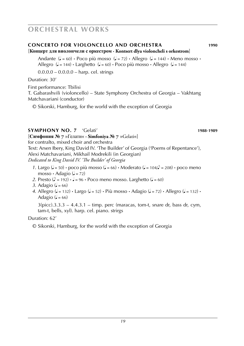#### **concerto for Violoncello and orchestra 1990**

#### [**Концерт для виолончели с оркестром · Kontsert dlya violoncheli s orkestrom**]

Andante  $(J = 60)$  **·** Poco più mosso  $(J = 72)$  **·** Allegro  $(J = 144)$  · Meno mosso · Allegro  $(J = 144)$  **·** Larghetto  $(J = 60)$  · Poco più mosso · Allegro  $(J = 144)$ 

 $0.0.0.0 - 0.0.0.0 - \text{harp.}$  cel. strings

Duration: 30'

First performance: Tbilisi

T. Gabarashvili (violoncello) – State Symphony Orchestra of Georgia – Vakhtang Matchavariani (conductor)

© Sikorski, Hamburg, for the world with the exception of Georgia

#### **symphony no. 7** 'Gelati' **1988**-**1989**

[**Симфония № 7** »Гелати« **· Simfoniya № 7** »Gelati«] for contralto, mixed choir and orchestra

Text: Arsen Ibery, King David IV. 'The Builder' of Georgia ('Poems of Repentance'), Alexi Matchavariani, Mikhail Modrekili (in Georgian)

*Dedicated to King David IV. 'The Builder' of Georgia*

- *1.* Largo ( $l = 50$ ) poco più mosso ( $l = 66$ ) Moderato ( $l = 104/2 = 208$ ) poco meno mosso **·** Adagio ( $\sqrt{=}$  = 72)
- 2. Presto  $(\triangle = 192) \cdot \triangle = 96 \cdot \text{Poco meno }$  mosso. Larghetto  $(\triangle = 60)$
- 3. Adagio ( $= 66$ )
- 4. Allegro ( $J = 132$ ) **·** Largo ( $J = 52$ ) **·** Più mosso **·** Adagio ( $J = 72$ ) **·** Allegro ( $J = 132$ ) **·** Adagio ( $= 66$ )

 $3(pice).3.3.3 - 4.4.3.1 - timp.$  perc (maracas, tom-t, snare dr, bass dr, cym, tam-t, bells, xyl). harp. cel. piano. strirgs

#### Duration: 62'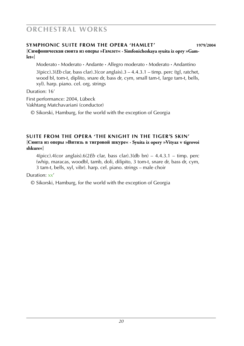#### **symphonic suite from the opera 'hamlet' 1979**/**2004**

[**Симфоническая сюита из оперы »Гамлет« · Simfonicheskaya syuita iz opry »Gamlet«**]

 Moderato **·** Moderato **·** Andante **·** Allegro moderato **·** Moderato **·** Andantino 3(picc).3(*Eb* clar, bass clar).3(cor anglais).3 – 4.4.3.1 – timp. perc (tgl, ratchet, wood bl, tom-t, diplito, snare dr, bass dr, cym, small tam-t, large tam-t, bells, xyl). harp. piano. cel. org. strings

Duration: 16'

First performance: 2004, Lübeck Vakhtang Matchavariani (conductor)

© Sikorski, Hamburg, for the world with the exception of Georgia

#### **SUITE FROM THE OPERA 'THE KNIGHT IN THE TIGER'S SKIN'** [**Сюита из оперы »Витязь в тигровой шкуре« · Syuita iz opery »Vityaz v tigrovoi shkure«**]

4(picc).4(cor anglais).6(2*Eb* clar, bass clar).3(db bn) – 4.4.3.1 – timp. perc (whip, maracas, woodbl, tamb, doli, dilipito, 3 tom-t, snare dr, bass dr, cym, 3 tam-t, bells, xyl, vibr). harp. cel. piano. strings – male choir

Duration: xx'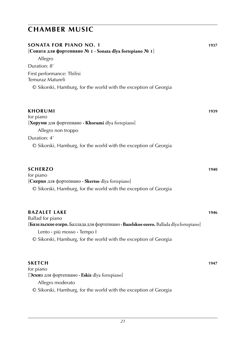| <b>SONATA FOR PIANO NO. 1</b><br>[Соната для фортепиано № 1 · Sonata dlya fortepiano № 1]<br>Allegro | 1937 |
|------------------------------------------------------------------------------------------------------|------|
| Duration: 8'                                                                                         |      |
| First performance: Tbilisi<br>Temuraz Matureli                                                       |      |
| © Sikorski, Hamburg, for the world with the exception of Georgia                                     |      |
| <b>KHORUMI</b>                                                                                       | 1939 |
| for piano                                                                                            |      |
| [Хоруми для фортепиано · Khorumi dlya fortepiano]                                                    |      |
| Allegro non troppo                                                                                   |      |
| Duration: 4'                                                                                         |      |
| © Sikorski, Hamburg, for the world with the exception of Georgia                                     |      |
| <b>SCHERZO</b>                                                                                       | 1940 |
| for piano                                                                                            |      |
| [Скерцо для фортепиано · Skertso dlya fortepiano]                                                    |      |
| © Sikorski, Hamburg, for the world with the exception of Georgia                                     |      |
| <b>BAZALET LAKE</b>                                                                                  | 1946 |
| Ballad for piano                                                                                     |      |
| [Базельское озеро. Баллада для фортепиано · Bazelskoe ozero. Ballada dlya fortepiano]                |      |
| Lento · più mosso · Tempo I                                                                          |      |
| © Sikorski, Hamburg, for the world with the exception of Georgia                                     |      |
| SKETCH                                                                                               | 1947 |
| for piano                                                                                            |      |
| [Эскиз для фортепиано · Eskiz dlya fortepiano]                                                       |      |
| Allegro moderato                                                                                     |      |
| © Sikorski, Hamburg, for the world with the exception of Georgia                                     |      |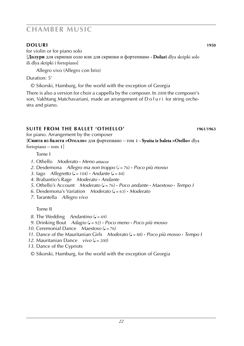#### **doluri 1950**

for violin or for piano solo

[**Долури** для скрипки соло или для скрипки и фортепиано **· Doluri** dlya skripki solo ili dlya skripki i fortepiano]

Allegro vivo (Allegro con brio)

Duration: 5'

© Sikorski, Hamburg, for the world with the exception of Georgia

There is also a version for choir a cappella by the composer. In 2008 the composer's son, Vakhtang Matchavariani, made an arrangement of D o l u r i for string orchestra and piano.

### **suite from the ballet 'othello' 1961**/**1963**

for piano. Arrangement by the composer

[**Сюита из балета »Отелло«** для фортепиано *–* том 1 **· Syuita iz baleta »Otello«** dlya fortepiano – tom 1]

Tome I

- *1.* Othello *Moderato* **·** *Meno attacca*
- 2. Desdemona *Allegro ma non troppo* ( $\ell$  = 76) **·** *Poco più mosso*
- *3.* Iago *Allegretto* ( $J = 104$ ) **·** *Andante* ( $J = 84$ )
- *4.* Brabantio's Rage *Moderato* **·** *Andante*
- *5.* Othello's Account *Moderato* (q = 76) **·** *Poco andante* **·** *Maestoso* **·** *Tempo I*
- *6.* Desdemona's Variation *Moderato* (q = 63) **·** *Moderato*
- *7.* Tarantella *Allegro vivo*

Tome II

- *8.* The Wedding *Andantino* ( $J = 69$ )
- *9.* Drinking Bout *Adagio* (q = 92) **·** *Poco meno* **·** *Poco più mosso*
- *10.* Ceremonial Dance *Maestoso* ( $= 76$ )
- *11.* Dance of the Mauritanian Girls *Moderato*  $(J = 88)$  **·** *Poco più mosso* · *Tempo I*
- *12.* Mauritanian Dance *vivo* ( $=$  200)
- *13.* Dance of the Cypriots
- © Sikorski, Hamburg, for the world with the exception of Georgia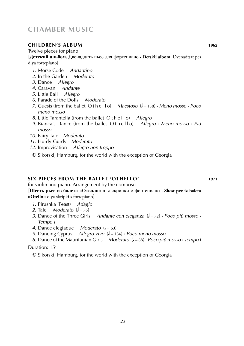#### **children's album 1962**

Twelve pieces for piano

[**Детский альбом.** Двенадцать пьес для фортепиано **· Detskii albom.** Dvenadtsat pes dlya fortepiano]

- *1.* Morse Code *Andantino*
- *2.* In the Garden *Moderato*
- *3.* Dance *Allegro*
- *4.* Caravan *Andante*
- *5.* Little Ball *Allegro*
- *6.* Parade of the Dolls *Moderato*
- *7.* Guests (from the ballet O t h e l l o) *Maestoso* (q = 138) **·** *Meno mosso* **·** *Poco meno mosso*
- *8.* Little Tarantella (from the ballet O t h e l l o) *Allegro*
- *9.* Bianca's Dance (from the ballet O t h e l l o) *Allegro* **·** *Meno mosso* **·** *Più mosso*
- *10.* Fairy Tale *Moderato*
- *11.* Hurdy-Gurdy *Moderato*
- *12.* Improvisation *Allegro non troppo*
- © Sikorski, Hamburg, for the world with the exception of Georgia

#### **Six pieces from the ballet 'othello' 1971**

for violin and piano. Arrangement by the composer [**Шесть рьес из балета »Отелло«** для скрипки с фортепиано **· Shest pec iz baleta** 

**»Otello«** dlya skripki s fortepiano]

- *1.* Pirushka (Feast) *Adagio*
- 2. Tale *Moderato*  $(l = 76)$
- *3.* Dance of the Three Girls Andante con eleganza  $(J = 72) \cdot P$ oco più mosso  $\cdot$ *Tempo I*
- *4.* Dance elegiaque *Moderato* ( $J = 63$ )
- *5.* Dancing Cyprus *Allegro vivo* (q = 184) **·** *Poco meno mosso*
- *6.* Dance of the Mauritanian Girls *Moderato* (q = 88) **·** *Poco più mosso* **·** *Tempo I*

#### Duration: 15'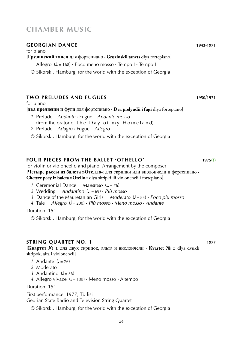#### **georgian dance 1943-1971**

for piano

[**Грузинский танец** для фортепиано **· Gruzinskii tanets** dlya fortepiano]

Allegro  $(L = 168)$  **·** Poco meno mosso **·** Tempo I **·** Tempo I

© Sikorski, Hamburg, for the world with the exception of Georgia

#### **two preludes and fugues 1950**/**1971**

for piano

#### [**два прелюдии и фуги** для фортепиано **· Dva prelyudii i fugi** dlya fortepiano]

- *1.* Prelude *Andante* **·** Fugue *Andante mosso* (from the oratorio The Day of my Homeland)
- *2.* Prelude *Adagio* **·** Fugue *Allegro*
- © Sikorski, Hamburg, for the world with the exception of Georgia

#### **four pieces from the ballet 'othello' 1975(?)**

for violin or violoncello and piano. Arrangement by the composer [**Четыре рьесы из балета »Отелло«** для скрипки или виолончели и фортепиано **· Chetyre pecy iz baleta »Otello«** dlya skripki ili violoncheli i fortepiano]

- *1.* Ceremonial Dance *Maestoso* (*j.* = 76)<br>2. Wedding *Andantino* (*j.* = 69) *· Più mo*
- $2.4$ ndantino  $\left( \frac{1}{2} \right) = 69$   $\cdot$  *Più mosso*
- *3.* Dance of the Mauretanian Girls *Moderato* ( $J = 88$ ) **·** *Poco più mosso* 4. Tale *Allegro* ( $J = 200$ ) **·** *Più mosso* · *Meno mosso* · *Andante*
- *4.* Tale *Allegro* (q = 200) **·** *Più mosso* **·** *Meno mosso* **·** *Andante*

Duration: 15'

© Sikorski, Hamburg, for the world with the exception of Georgia

#### **STRING QUARTET NO. 1 1977**

[**Квартет № 1** для двух скрипок, альта и виолончели **· Kvartet № 1** dlya dvukh skripok, alta i violoncheli]

- *1.* Andante  $\mathcal{L} = 76$
- *2.* Moderato
- 3. Andantino  $\mathcal{L} = 56$ )

4. Allegro vivace  $(J = 138) \cdot$  Meno mosso  $\cdot$  A tempo

Duration: 15'

First performance: 1977, Tbilisi Georian State Radio and Television String Quartet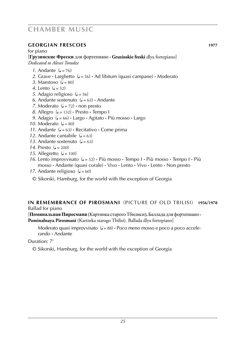#### **georgian frescoes 1977**

#### for piano

[**Грузинские Фрески** для фортепиано **· Gruzinskie freski** dlya fortepiano] *Dedicated to Alexei Toradze*

- $1$  Andante  $(1 76)$
- 2. Grave  $\cdot$  Larghetto  $(l = 56) \cdot$  Ad libitum (quasi campane)  $\cdot$  Moderato
- *3.* Maestoso  $(J = 80)$
- *4.* Lento  $(a = 52)$
- *5.* Adagio religioso ( $J = 56$ )
- 6. Andante sostenuto  $(J = 63)$  **·** Andante
- *7.* Moderato  $(l = 72)$  · non presto
- $8.$  Allegro  $(1 = 132) \cdot$  Presto  $\cdot$  Tempo I
- *9.* Adagio (q = 66) **·** Largo **·** Agitato **·** Più mosso **·** Largo
- *10.* Moderato  $(J = 80)$
- 11. Andante  $(J = 63)$  **·** Recitativo **·** Come prima
- 12. Andante cantabile  $(l = 63)$
- 13. Andante sostenuto  $(J = 63)$
- *14.* Presto  $(d = 200)$
- 15. Allegretto  $\mathcal{L} = 100$
- *16.* Lento improvvisato (q = 52) **·** Più mosso **·** Tempo I **·** Più mosso **·** Tempo I **·** Più mosso **·** Andante (quasi corale) **·** Vivo **·** Lento **·** Vivo **·** Lento **·** Non presto
- *17.* Andante religioso  $(1 60)$
- © Sikorski, Hamburg, for the world with the exception of Georgia

#### **in remembrance of pirosmani** (Picture of old tbilisi) **1956**/**1978** Ballad for piano

[**Поминальная Пиросмани** (Картинка старого Тбилиси)**.** Баллада для фортепиано **· Pominalnaya Pirosmani** (Kartinka starogo Tbilisi). Ballada dlya fortepiano]

Moderato quasi improvvisato ( $= 88$ ) · Poco meno mosso e poco a poco accelerando **·** Andante

Duration: 7'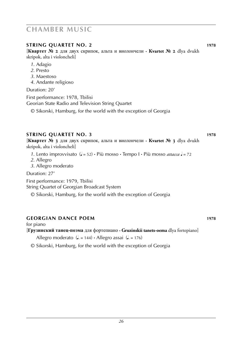#### **STRING QUARTET NO. 2 1978**

[**Квартет № 2** для двух скрипок, альта и виолончели **· Kvartet № 2** dlya dvukh skripok, alta i violoncheli]

- *1.* Adagio
- *2.* Presto
- *3.* Maestoso
- *4.* Andante religioso

Duration: 20'

First performance: 1978, Tbilisi

Georian State Radio and Television String Quartet

© Sikorski, Hamburg, for the world with the exception of Georgia

#### **string quartet no. 3 1978**

[**Квартет № 3** для двух скрипок, альта и виолончели **· Kvartet № 3** dlya dvukh skripok, alta i violoncheli]

- 1. Lento improvvisato  $(l = 52) \cdot$  Più mosso  $\cdot$  Tempo I  $\cdot$  Più mosso *attacca*  $l = 72$
- *2.* Allegro
- *3.* Allegro moderato

Duration: 27'

First performance: 1979, Tbilisi

String Quartet of Georgian Broadcast System

© Sikorski, Hamburg, for the world with the exception of Georgia

### **georgian dance poem 1978**

for piano

### [**Грузинский танец-поэма** для фортепиано **· Gruzinskii tanets-oema** dlya fortepiano]

Allegro moderato  $(L = 144) \cdot$  Allegro assai  $(L = 176)$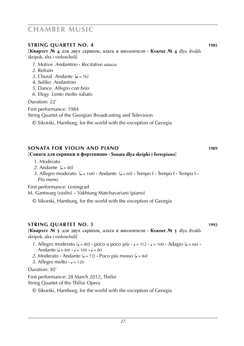#### **STRING QUARTET NO. 4 1985**

[**Квартет № 4** для двух скрипок, альта и виолончели **· Kvartet № 4** dlya dvukh skripok, alta i violoncheli]

- *1.* Motive *Andantino* **·** *Recitative attacca*
- *2.* Refrain
- *3.* Choral *Andante* (q = 76)
- *4.* Suliko *Andantino*
- *5.* Dance *Allegro con brio*
- *6.* Elegy *Lento molto rubato*

Duration: 22'

First performance: 1984 String Quartet of the Georgian Broadcasting and Television

© Sikorski, Hamburg, for the world with the exception of Georgia

#### **sonata for violin and piano 1989**

#### [**Соната для скрипки и фортепиано · Sonata dlya skripki i fortepiano**]

- *1.* Moderato
- 2. Andante  $(1 80)$
- *3.* Allegro moderato  $(J = 168) \cdot$  Andante  $(J = 60) \cdot$  Tempo I  $\cdot$  Tempo I  $\cdot$ Più meno

First performance: Leningrad

M. Gantwarg (violin) – Vakhtang Matchavariani (piano)

© Sikorski, Hamburg, for the world with the exception of Georgia

#### **string quartet no. 5 1992**

[**Квартет № 5** для двух скрипок, альта и виолончели **· Kvartet № 5** dlya dvukh skripok, alta i violoncheli]

- *1.* Allegro moderato ( $J = 80$ )  $\cdot$  poco a poco più  $\cdot$   $J = 112 \cdot J = 100 \cdot$  Adagio ( $J = 66$ )  $\cdot$ Andante  $(J = 84) \cdot J = 100 \cdot J = 80$
- 2. Moderato **·** Andante ( $J = 72$ ) **·** Poco più mosso ( $J = 84$ )
- 3. Allegro molto  $\cdot \cdot$  = 120

Duration: 30'

First performance: 28 March 2012, Tbilisi String Quartet of the Tbilisi Opera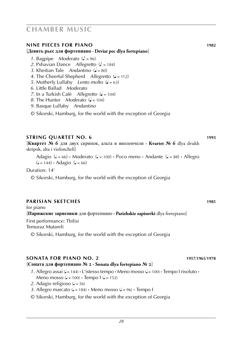#### **nine pieces for piano 1982**

#### [**Девять рьес для фортепиано · Deviat pec dlya fortepiano**]

- *1.* Bagpipe *Moderato*  $(2) = 96$
- *2.* Pshavian Dance *Allegretto* ( $\sqrt{ }$  = 184)
- *3.* Kheitian Tale *Andantino* ( $= 80$ )
- 4. The Cheerful Shepherd *Allegretto* ( $\sqrt{ }$  = 112)
- *5.* Motherly Lullaby *Lento molto*  $(d = 63)$
- *6.* Little Ballad *Moderato*
- *7.* In a Turkish Café *Allegretto* ( $\sqrt{ } = 104$ )
- *8.* The Hunter *Moderato*  $\mathcal{L} = 104$
- *9.* Basque Lullaby *Andantino*
- © Sikorski, Hamburg, for the world with the exception of Georgia

#### **STRING QUARTET NO. 6 1993**

[**Квартет № 6** для двух скрипок, альта и виолончели **· Kvartet № 6** dlya dvukh skripok, alta i violoncheli]

Adagio ( $\downarrow$  = 66) **·** Moderato ( $\downarrow$  = 100) **·** Poco meno **·** Andante ( $\downarrow$  = 88) **·** Allegro  $(l = 144) \cdot \text{Adagio}$   $(l = 66)$ 

Duration: 14'

© Sikorski, Hamburg, for the world with the exception of Georgia

#### **parisian sketches 1985**

for piano

[**Парижские зарисовки** для фортепиано **· Parizhskie zapisovki** dlya fortepiano]

First performance: Tbilisi Temuraz Mutareli

© Sikorski, Hamburg, for the world with the exception of Georgia

#### **sonata for piano no. 2 1957**/**1965**/**1978**

#### [**Соната для фортепиано № 2 · Sonata dlya fortepiano № 2**]

- 1. Allegro assai  $\left(\frac{1}{2} + 144\right) \cdot \frac{1}{2}$  is tesso tempo  $\cdot$  Meno mosso  $\left(\frac{1}{2} + 100\right) \cdot$  Tempo I risoluto  $\cdot$ Meno mosso ( $\downarrow$  = 100)  $\cdot$  Tempo I ( $\downarrow$  = 152)
- 2. Adagio religioso ( $J = 56$ )
- 3. Allegro marcato  $(d = 184)$  **·** Meno mosso  $(d = 96)$  **·** Tempo I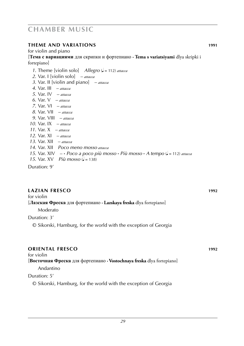#### **theme and variations 1991**

#### for violin and piano

[**Тема с вариациями** для скрипки и фортепиано **· Tema s variatsiyami** dlya skripki i fortepiano]

- *1.* Theme [violin solo] *Allegro* ( $\bullet$  = 112) *attacca*
- *2.* Var. I [violin solo] *attacca*
- *3.* Var. II [violin and piano] *attacca*
- *4.* Var. III *attacca*
- *5.* Var. IV *attacca*
- *6.* Var. V *attacca*
- *7.* Var. VI *attacca*
- *8.* Var. VII *attacca*
- *9.* Var. VIII *attacca*
- *10.* Var. IX *attacca*
- *11.* Var. X *attacca*
- *12.* Var. XI *attacca*
- *13.* Var. XII *attacca*
- *14.* Var. XII *Poco meno mosso attacca*
- *15.* Var. XIV **·** *Poco a poco più mosso* **·** *Più mosso* **·** *A tempo* (q = 112) *attacca*
- 15. Var. XV *Più mosso* ( $\sqrt{ }$  = 138)

Duration: 9'

#### **lazian fresco 1992**

### for violin [**Лазская Фреска** для фортепиано **· Lazskaya freska** dlya fortepiano]

Moderato

#### Duration: 3'

© Sikorski, Hamburg, for the world with the exception of Georgia

### **oriental fresco 1992** for violin [**Восточная Фреска** для фортепиано **· Vostochnaya freska** dlya fortepiano] Andantino Duration: 5'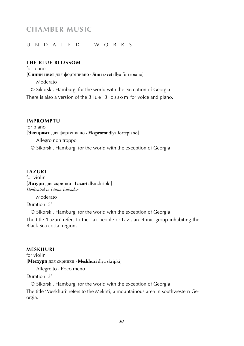#### u nd a t e d w o r k s

#### **THE BLUE BLOSSOM**

for piano [**Синий цвет** для фортепиано **· Sinii tsvet** dlya fortepiano] Moderato © Sikorski, Hamburg, for the world with the exception of Georgia

There is also a version of the B l u e B l o s s o m for voice and piano.

#### **IMPROMPTU**

for piano [**Экспромт** для фортепиано **· Ekspromt** dlya fortepiano] Allegro non troppo © Sikorski, Hamburg, for the world with the exception of Georgia

#### **lazuri 19xx7**

for violin [**Лазури** для скрипки **· Lazuri** dlya skripki] *Dedicated to Liana Isakadze*

Moderato

Duration: 5'

© Sikorski, Hamburg, for the world with the exception of Georgia

The title 'Lazuri' refers to the Laz people or Lazi, an ethnic group inhabiting the Black Sea costal regions.

#### **meskhuri 19xx**

for violin [**Месхури** для скрипки **· Meskhuri** dlya skripki]

Allegretto **·** Poco meno

#### Duration: 3'

© Sikorski, Hamburg, for the world with the exception of Georgia

The title 'Meskhuri' refers to the Mekhti, a mountainous area in southwestern Georgia.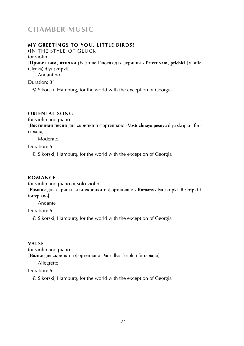#### **MY GREETINGS TO YOU, LITTLE BIRDS!**

(In the style of gluck) for violin

[**Привет вам, птички** (В стиле Глюка) для скрипки **· Privet vam, ptichki** (V stile Glyuka) dlya skripki]

Andantino

Duration: 3'

© Sikorski, Hamburg, for the world with the exception of Georgia

### **oriental song 19xx**

for violin and piano

[**Восточная песня** для скрипки и фортепиано **· Vostochnaya pesnya** dlya skripki i fortepiano]

Moderato

Duration: 5'

© Sikorski, Hamburg, for the world with the exception of Georgia

#### **ROMANCE**

for violin and piano or solo violin

[**Романс** для скрипки или скрипки и фортепиано **· Romans** dlya skripki ili skripki i fortepiano]

Andante

Duration: 5'

© Sikorski, Hamburg, for the world with the exception of Georgia

#### **Valse 19xx**

for violin and piano [**Вальс** для скрипки и фортепиано **· Vals** dlya skripki i fortepiano]

Allegretto

Duration: 5'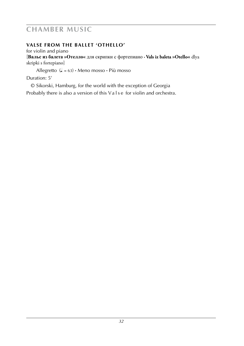#### **VALSE FROM THE BALLET 'OTHELLO'**

for violin and piano [**Вальс из балета »Отелло«** для скрипки с фортепиано **· Vals iz baleta »Otello«** dlya skripki s fortepiano]

Allegretto  $(L = 63) \cdot$  Meno mosso  $\cdot$  Più mosso

Duration: 5'

© Sikorski, Hamburg, for the world with the exception of Georgia

Probably there is also a version of this Valse for violin and orchestra.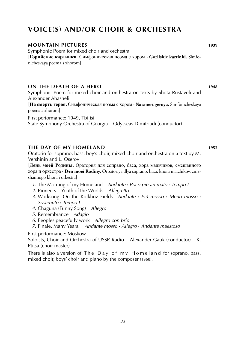### **voice**(**s**) **and**/**or choir & orchestra**

#### **mountain pictures 1939**

Symphonic Poem for mixed choir and orchestra [**Горийские картинки.** Симфоническая поэма с хором **· Goriiskie kartinki.** Simfonicheskaya poema s xhorom]

#### **on the death of a hero 1948**

Symphonic Poem for mixed choir and orchestra on texts by Shota Rustaveli and Alexander Abasheli

[**На смерть героя.** Симфоническая поэма с хором **· Na smert geroya.** Simfonicheskaya poema s xhorom]

First performance: 1949, Tbilisi

State Symphony Orchestra of Georgia – Odysseas Dimitriadi (conductor)

#### **The day of my homeland 1952**

Oratorio for soprano, bass, boy's choir, mixed choir and orchestra on a text by M. Vershinin and L. Oserov

[**День моей Родины.** Оратория для сопрано, баса, хора мальчиков, смешанного хора и оркестра **· Den moei Rodiny.** Oroatoriya dlya soprano, basa, khora malchikov, cmeshannogo khora i orkestra]

- *1.* The Morning of my Homeland *Andante* **·** *Poco più animato* **·** *Tempo I*
- *2.* Pioneers Youth of the Worlds *Allegretto*
- *3.* Worksong. On the Kolkhoz Fields *Andante* **·** *Più mosso* **·** *Meno mosso* **·** *Sostenuto* **·** *Tempo I*
- *4.* Chaguna (Funny Song) *Allegro*
- *5.* Remembrance *Adagio*
- *6.* Peoples peacefully work *Allegro con brio*
- *7.* Finale. Many Years! *Andante mosso* **·** *Allegro* **·** *Andante maestoso*

#### First performance: Moskow

Soloists, Choir and Orchestra of USSR Radio – Alexander Gauk (conductor) – K. Ptitsa (choir master)

There is also a version of The Day of my Homeland for soprano, bass, mixed choir, boys' choir and piano by the composer (1968).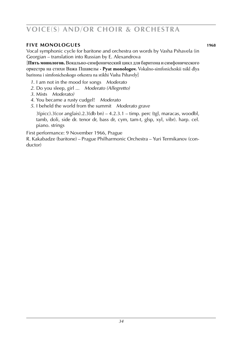### **voice**(**s**) **and**/**or choir & orchestra**

#### **Five monologues 1968**

Vocal symphonic cycle for baritone and orchestra on words by Vasha Pshavela (in Georgian – translation into Russian by E. Alexandrova

[**Пять монологов.** Вокально-симфонический цикл для баритона и симфонического оркестра на стихи Важа Пшавелы **· Pyat monologov.** Vokalno-simfonicheskii tsikl dlya baritona i simfonicheskogo orkestra na stikhi Vasha Pshavely]

- *1.* I am not in the mood for songs *Moderato*
- *2.* Do you sleep, girl ... *Moderato (Allegretto)*
- *3.* Mists *Moderato)*
- *4.* You became a rusty cudgel! *Moderato*
- *5.* I beheld the world from the summit *Moderato grave*

 $3(pice).3(cor \text{ anglais}).2.3(db \text{ bn}) - 4.2.3.1 - \text{timp. } perc \text{ (tgl, maracas, woodbl,)}$ tamb, doli, side dr. tenor dr, bass dr, cym, tam-t, glsp, xyl, vibr). harp. cel. piano. strings

First performance: 9 November 1966, Prague

R. Kakabadze (baritone) – Prague Philharmonic Orchestra – Yuri Termikanov (conductor)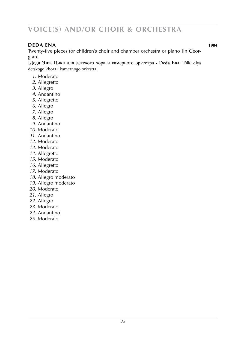### **voice**(**s**) **and**/**or choir & orchestra**

#### **deda ena 1984 de la construction de la construction de la construction de la construction de la construction de la construction de la construction de la construction de la construction de la construction de la constru**

Twenty-five pieces for children's choir and chamber orchestra or piano [in Georgian]

[**Деда Эна.** Цикл для детского хора и камерного оркестра **· Deda Ena.** Tsikl dlya detskogo khora i kamernogo orkestra]

- *1.* Moderato
- *2.* Allegretto
- *3.* Allegro
- *4.* Andantino
- *5.* Allegretto
- *6.* Allegro
- *7.* Allegro
- *8.* Allegro
- *9.* Andantino
- *10.* Moderato
- *11.* Andantino
- *12.* Moderato
- *13.* Moderato
- *14.* Allegretto
- *15.* Moderato
- *16.* Allegretto
- *17.* Moderato
- *18.* Allegro moderato
- *19.* Allegro moderato
- *20.* Moderato
- *21.* Allegro
- *22.* Allegro
- *23.* Moderato
- *24.* Andantino
- *25.* Moderato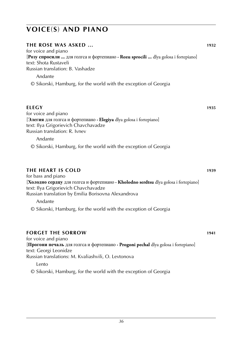| <b>THE ROSE WAS ASKED </b><br>for voice and piano                                                                                                                                              | 1932 |
|------------------------------------------------------------------------------------------------------------------------------------------------------------------------------------------------|------|
| [Розу спросили  для голгса и фортепиано · Rozu sprocili  dlya golosa i fortepiano]<br>text: Shota Rustaveli<br>Russian translation: B. Vashadze                                                |      |
| Andante                                                                                                                                                                                        |      |
| © Sikorski, Hamburg, for the world with the exception of Georgia                                                                                                                               |      |
| <b>ELEGY</b>                                                                                                                                                                                   | 1935 |
| for voice and piano<br>[Элегия для голгса и фортепиано · Elegiya dlya golosa i fortepiano]<br>text: Ilya Grigorievich Chavchavadze<br>Russian translation: R. Ivnev                            |      |
| Andante                                                                                                                                                                                        |      |
| © Sikorski, Hamburg, for the world with the exception of Georgia                                                                                                                               |      |
| <b>THE HEART IS COLD</b><br>for bass and piano                                                                                                                                                 | 1939 |
| [Холодно сердцу для голгса и фортепиано · Kholodno serdtsu dlya golosa i fortepiano]<br>text: Ilya Grigorievich Chavchavadze<br>Russian translation by Emilia Borisovna Alexandrova<br>Andante |      |
| © Sikorski, Hamburg, for the world with the exception of Georgia                                                                                                                               |      |
| <b>FORGET THE SORROW</b>                                                                                                                                                                       | 1941 |
| for voice and piano<br><b>Прогони печаль</b> для голгса и фортепиано $\cdot$ <b>Progoni pechal</b> dlya golosa i fortepiano<br>text: Georgi Leonidze                                           |      |
| Russian translations: M. Kvaliashvili, O. Levtonova<br>Lento                                                                                                                                   |      |
| © Sikorski, Hamburg, for the world with the exception of Georgia                                                                                                                               |      |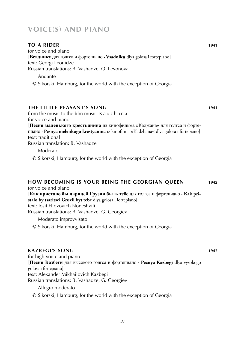#### **to a rider 1941**

for voice and piano [**Всаднику** для голгса и фортепиано **· Vsadniku** dlya golosa i fortepiano] text: Georgi Leonidze Russian translations: B. Vashadze, O. Levonova

Andante

© Sikorski, Hamburg, for the world with the exception of Georgia

#### **The Little Peasant's Song 1941**

from the music to the film music K a d z h a n a for voice and piano

[**Песня маленького крестьянина** из кинофильма »Каджана« для голгса и фортепиано **· Pesnya melenkogo krestyanina** iz kinofilma »Kadzhana« dlya golosa i fortepiano] text: traditional

Russian translation: B. Vashadze

Moderato

© Sikorski, Hamburg, for the world with the exception of Georgia

#### **How Becoming is your Being the Georgian Queen 1942**

for voice and piano [**Как пристало бы царицей Грузии быть тебе** для голгса и фортепиано **· Kak pristalo by tsaritsei Gruzii byt tebe** dlya golosa i fortepiano] text: Iosif Eliozovich Noneshvili Russian translations: B. Vashadze, G. Georgiev

Moderato improvvisato

© Sikorski, Hamburg, for the world with the exception of Georgia

#### **Kazbegi's song 1942**

for high voice and piano [**Песня Казбеги** для высокого голгса и фортепиано **· Pecnya Kazbegi** dlya vysokogo golosa i fortepiano] text: Alexander Mikhailovich Kazbegi Russian translations: B. Vashadze, G. Georgiev

Allegro moderato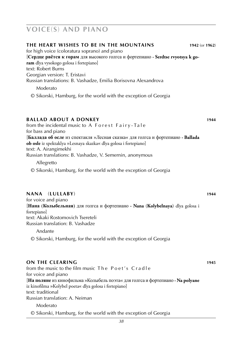#### **The Heart Wishes to be in the Mountains 1942** (or **1962**) for high voice (coloratura soprano) and piano [**Сердце рвётся к горам** для высокого голгса и фортепиано **· Serdtse rvyotsya k goram** dlya vysokogo golosa i fortepiano] text: Robert Burns Georgian version: T. Eristavi Russian translations: B. Vashadze, Emilia Borisovna Alexandrova Moderato © Sikorski, Hamburg, for the world with the exception of Georgia

#### **Ballad about a donkey 1944**

from the incidental music to A Forest Fairy-Tale for bass and piano [**Баллада об осле** из спектакля »Лесная сказка« для голгса и фортепиано **· Ballada ob osle** iz spektaklya »Lesnaya skazka« dlya golosa i fortepiano] text: A. Airangimekhi Russian translations: B. Vashadze, V. Semernin, anonymous Allegretto

© Sikorski, Hamburg, for the world with the exception of Georgia

#### **Nana** (**lullaby**) **1944**

for voice and piano [**Нана** (**Колыбельная**) для голгса и фортепиано **· Nana** (**Kolybelnaya**) dlya golosa i fortepiano] text: Akaki Rostomovich Tsereteli Russian translation: B. Vashadze

Andante

© Sikorski, Hamburg, for the world with the exception of Georgia

#### **on the clearing 1945**

from the music to the film music The Poet's Cradle for voice and piano [**На поляне** из кинофильма »Колыбель поэта« для голгса и фортепиано **· Na polyane** iz kinofilma »Kolybel poeta« dlya golosa i fortepiano] text: traditional Russian translation: A. Neiman Moderato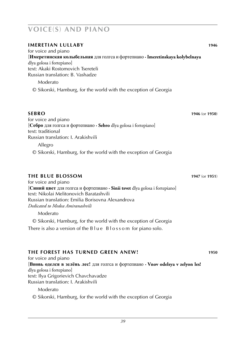| <b>IMERETIAN LULLABY</b>                                                                                                                                                                                   | 1946           |
|------------------------------------------------------------------------------------------------------------------------------------------------------------------------------------------------------------|----------------|
| for voice and piano<br>[Имеретинская колыбельная для голгса и фортепиано · Imeretinskaya kolybelnaya<br>dlya golosa i fortepiano]<br>text: Akaki Rostomovich Tsereteli<br>Russian translation: B. Vashadze |                |
| Moderato                                                                                                                                                                                                   |                |
| © Sikorski, Hamburg, for the world with the exception of Georgia                                                                                                                                           |                |
| <b>SEBRO</b>                                                                                                                                                                                               | 1946 (or 1950) |
| for voice and piano<br>[Себро для голгса и фортепиано $\cdot$ Sebro dlya golosa i fortepiano]<br>text: traditional                                                                                         |                |
| Russian translation: I. Arakishvili<br>Allegro                                                                                                                                                             |                |
| © Sikorski, Hamburg, for the world with the exception of Georgia                                                                                                                                           |                |
| <b>THE BLUE BLOSSOM</b>                                                                                                                                                                                    | 1947 (or 1951) |
| for voice and piano<br>[Синий цвет для голгса и фортепиано · Sinii tsvet dlya golosa i fortepiano]<br>text: Nikolai Melitonovich Baratashvili<br>Russian translation: Emilia Borisovna Alexandrova         |                |
| Dedicated to Medea Amiranashvili<br>Moderato                                                                                                                                                               |                |
| © Sikorski, Hamburg, for the world with the exception of Georgia                                                                                                                                           |                |
| There is also a version of the $B \cup e$ Blossom for piano solo.                                                                                                                                          |                |
| THE FOREST HAS TURNED GREEN ANEW!                                                                                                                                                                          | 1950           |
| for voice and piano                                                                                                                                                                                        |                |

[**Вновь оделся в зелёнь лес!** для голгса и фортепиано **· Vnov odelsya v zelyon les!** dlya golosa i fortepiano] text: Ilya Grigorievich Chavchavadze Russian translation: I. Arakishvili

Moderato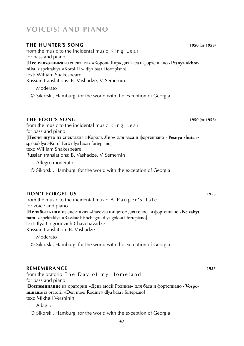### **the hunter's song 1950** (or **1953**) from the music to the incidental music King Lear for bass and piano [**Песня охотника** из спектакля »Король Лир« для васа и фортепиано **· Pesnya okhotnika** iz spektaklya »Korol Lir« dlya basa i fortepiano] text: William Shakespeare Russian translations: B. Vashadze, V. Semernin Moderato © Sikorski, Hamburg, for the world with the exception of Georgia

#### **the fool's song 1950** (or **1953**)

from the music to the incidental music K i n g L e a r for bass and piano [**Песня шута** из спектакля »Король Лир« для васа и фортепиано **· Pesnya shuta** iz spektaklya »Korol Lir« dlya basa i fortepiano] text: William Shakespeare Russian translations: B. Vashadze, V. Semernin

Allegro moderato

© Sikorski, Hamburg, for the world with the exception of Georgia

#### **DON'T FORGET US 1955**

from the music to the incidental music A P a u p e r's T a l e for voice and piano [**Не забыть нам** из спектакля »Рассказ нищего« для голоса и фортепиано **· Ne zabyt nam** iz spektaklya »Rasskaz hishchego« dlya golosa i fortepiano] text: Ilya Grigorievich Chavchavadze Russian translation: B. Vashadze

Moderato

© Sikorski, Hamburg, for the world with the exception of Georgia

### **REMEMBRANCE** 1955

from the oratorio The Day of my Homeland for bass and piano [**Воспоминание** из оратории »День моей Родины« для баса и фортепиано **· Vospominanie** iz oratorii »Den moei Rodiny« dlya basa i fortepiano] text: Mikhail Vershinin

Adagio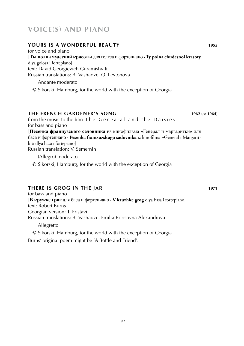#### **Yours is a wonderful beauty 1955**

for voice and piano [**Ты полна чудесной красоты** для голгса и фортепиано **· Ty polna chudesnoi krasoty** dlya golosa i fortepiano] text: David Georgievich Guramishvili Russian translations: B. Vashadze, O. Levtonova

Andante moderato

© Sikorski, Hamburg, for the world with the exception of Georgia

#### **The French Gardener's Song 1962** (or **1964**)

from the music to the film The Genearal and the Daisies for bass and piano [**Песенка французского садовника** из кинофильма »Генерал и маргаритки« для баса и фортепиано **· Pesenka frantsuzskogo sadovnika** iz kinofilma »General i Margaritki« dlya basa i fortepiano] Russian translation: V. Semernin

(Allegro) moderato

© Sikorski, Hamburg, for the world with the exception of Georgia

#### **there is grog in the Jar 1971**

for bass and piano [**В кружке грог** для баса и фортепиано **· V kruzhke grog** dlya basa i fortepiano] text: Robert Burns Georgian version: T. Eristavi Russian translations: B. Vashadze, Emilia Borisovna Alexandrova

Allegretto

© Sikorski, Hamburg, for the world with the exception of Georgia Burns' original poem might be 'A Bottle and Friend'.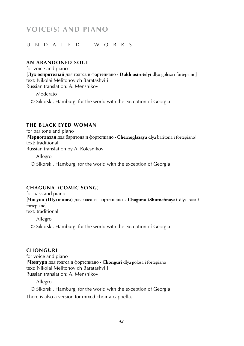#### u nd a t e d w o r k s

#### **AN ARANDONED SOUL**

for voice and piano [**Дух осиротелый** для голгса и фортепиано **· Dukh osirotelyi** dlya golosa i fortepiano] text: Nikolai Melitonovich Baratashvili Russian translation: A. Menshikov

Moderato

© Sikorski, Hamburg, for the world with the exception of Georgia

#### **THE BLACK EYED WOMAN**

for baritone and piano [**Черноглазая** для баритона и фортепиано **· Chernoglazaya** dlya baritona i fortepiano] text: traditional Russian translation by A. Kolesnikov

Allegro

© Sikorski, Hamburg, for the world with the exception of Georgia

#### **chaguna** (**comic song**) **19xx**

for bass and piano [**Чагуна** (**Шуточная**) для баса и фортепиано **· Chaguna** (**Shutochnaya**) dlya basa i fortepiano] text: traditional

Allegro

© Sikorski, Hamburg, for the world with the exception of Georgia

#### $CHONGURI$

for voice and piano [**Чонгури** для голгса и фортепиано **· Chonguri** dlya golosa i fortepiano] text: Nikolai Melitonovich Baratashvili Russian translation: A. Menshikov

Allegro

© Sikorski, Hamburg, for the world with the exception of Georgia

There is also a version for mixed choir a cappella.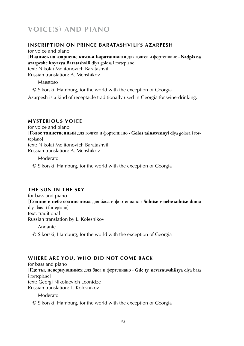#### **INSCRIPTION ON PRINCE BARATASHVILI'S AZARPESH**

for voice and piano [**Надпись на азарпеше князья Бараташвили** для голгса и фортепиано **· Nadpis na azarpeshe knyazya Baratashvili** dlya golosa i fortepiano] text: Nikolai Melitonovich Baratashvili Russian translation: A. Menshikov

Maestoso

© Sikorski, Hamburg, for the world with the exception of Georgia

Azarpesh is a kind of receptacle traditionally used in Georgia for wine-drinking.

#### **MYSTERIOUS VOICE**

for voice and piano [**Голос таинственный** для голгса и фортепиано **· Golos tainstvennyi** dlya golosa i fortepiano] text: Nikolai Melitonovich Baratashvili

Russian translation: A. Menshikov

Moderato

© Sikorski, Hamburg, for the world with the exception of Georgia

### **THE SUN IN THE SKY**

for bass and piano [**Солнце в небе солнце дома** для баса и фортепиано **· Solntse v nebe solntse doma** dlya basa i fortepiano] text: traditional Russian translation by L. Kolesnikov Andante

© Sikorski, Hamburg, for the world with the exception of Georgia

### **WHERE ARE YOU, WHO DID NOT COME BACK**

for bass and piano [**Где ты, невернувшийся** для баса и фортепиано **· Gde ty, nevernuvshiisya** dlya basa i fortepiano] text: Georgi Nikolaevich Leonidze Russian translation: L. Kolesnikov

Moderato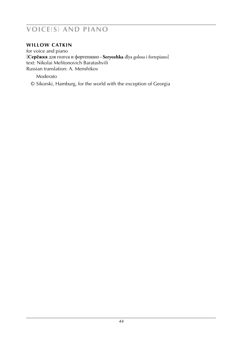#### **WILLOW CATKIN**

for voice and piano [**Серёжка** для голгса и фортепиано **· Seryozhka** dlya golosa i fortepiano] text: Nikolai Melitonovich Baratashvili Russian translation: A. Menshikov

Moderato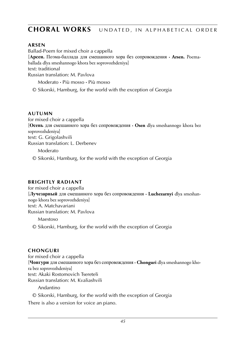### **CHORAL WORKS** UNDATED, IN ALPHABETICAL ORDER

#### **arsen 19xx19xx19xx19xx19xx19xx19xx19xx**

Ballad-Poem for mixed choir a cappella [**Арсен.** Поэма-баллада для смешанного хора без сопровождения **· Arsen.** Poemaballada dlya smeshannogo khora bez soprovozhdeniya] text: traditional Russian translation: M. Pavlova

Moderato **·** Più mosso **·** Più mosso

© Sikorski, Hamburg, for the world with the exception of Georgia

#### **autumn 19xx**

for mixed choir a cappella [**Осень** для смешанного хора без сопровождения **· Osen** dlya smeshannogo khora bez soprovozhdeniya] text: G. Grigolashvili Russian translation: L. Derbenev

Moderato

© Sikorski, Hamburg, for the world with the exception of Georgia

#### **BRIGHTLY RADIANT**

for mixed choir a cappella [**Лучезарный** для смешанного хора без сопровождения **· Luchezarnyi** dlya smeshannogo khora bez soprovozhdeniya] text: A. Matchavariani Russian translation: M. Pavlova

Maestoso

© Sikorski, Hamburg, for the world with the exception of Georgia

#### **chonguri 19xx**

for mixed choir a cappella [**Чонгури** для смешанного хора без сопровождения **· Chonguri** dlya smeshannogo khora bez soprovozhdeniya] text: Akaki Rostomovich Tsereteli Russian translation: M. Kvaliashvili

Andantino

© Sikorski, Hamburg, for the world with the exception of Georgia

There is also a version for voice an piano.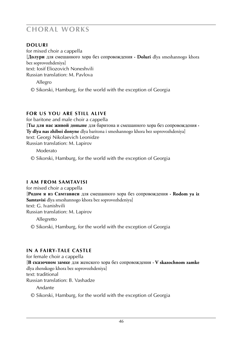**doluri 19xx 19xx 19xx 19xx 19xx 19xx 19xx 19xx 19xx 19xx 19xx 19xx 19xx 19xx 19xx 19xx** for mixed choir a cappella [**Долури** для смешанного хора без сопровождения **· Doluri** dlya smeshannogo khora bez soprovozhdeniya] text: Iosif Eliozovich Noneshvili Russian translation: M. Pavlova

 Allegro © Sikorski, Hamburg, for the world with the exception of Georgia

### **FOR US YOU ARE STILL ALIVE**

for baritone and male choir a cappella [**Ты для нас живой доныне** для баритона и смешанного хора без сопровождения **· Ty dlya nas zhiboi donyne** dlya baritona i smeshannogo khora bez soprovozhdeniya] text: Georgi Nikolaevich Leonidze Russian translation: M. Lapirov

Moderato

© Sikorski, Hamburg, for the world with the exception of Georgia

#### **I AM FROM SAMTAVISI**

for mixed choir a cappella [**Родом я из Самтависи** для смешанного хора без сопровождения **· Rodom ya iz Samtavisi** dlya smeshannogo khora bez soprovozhdeniya] text: G. Ivanishvili Russian translation: M. Lapirov Allegretto

© Sikorski, Hamburg, for the world with the exception of Georgia

#### **IN A FAIRY-TALE CASTLE**

for female choir a cappella [**В сказочном замке** для женского хора без сопровождения **· V skazochnom zamke** dlya zhenskogo khora bez soprovozhdeniya] text: traditional Russian translation: B. Vashadze

Andante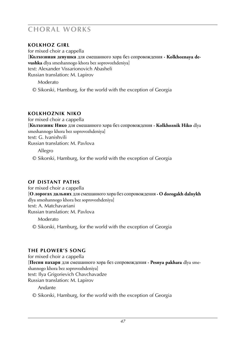#### **KOLKHOZ GIRL**

for mixed choir a cappella [**Колхозниая девушка** для смешанного хора без сопровождения **· Kolkhoznaya devushka** dlya smeshannogo khora bez soprovozhdeniya] text: Alexander Vissarionovich Abasheli Russian translation: M. Lapirov

Moderato

© Sikorski, Hamburg, for the world with the exception of Georgia

#### **kolkhoznik niko 19xx**

for mixed choir a cappella [**Колхозник Нико** для смешанного хора без сопровождения **· Kolkhoznik Hiko** dlya smeshannogo khora bez soprovozhdeniya] text: G. Ivanishvili Russian translation: M. Pavlova

Allegro

© Sikorski, Hamburg, for the world with the exception of Georgia

#### **OF DISTANT PATHS**

for mixed choir a cappella [**О лорогах дальних** для смешанного хора без сопровождения **· O dorogakh dalnykh** dlya smeshannogo khora bez soprovozhdeniya] text: A. Matchavariani Russian translation: M. Pavlova

Moderato

© Sikorski, Hamburg, for the world with the exception of Georgia

#### **THE PLOWER'S SONG**

for mixed choir a cappella [**Песня пахаря** для смешанного хора без сопровождения **· Pesnya pakhara** dlya smeshannogo khora bez soprovozhdeniya] text: Ilya Grigorievich Chavchavadze Russian translation: M. Lapirov

Andante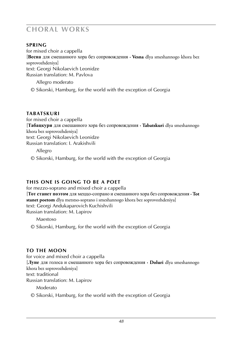**spring 19xx19xx19xx19xx19xx19xx19xx** for mixed choir a cappella [**Весна** для смешанного хора без сопровождения **· Vesna** dlya smeshannogo khora bez soprovozhdeniya] text: Georgi Nikolaevich Leonidze Russian translation: M. Pavlova

 Allegro moderato © Sikorski, Hamburg, for the world with the exception of Georgia

#### $TABATSKURI$

for mixed choir a cappella [**Табацкури** для смешанного хора без сопровождения **· Tabatskuri** dlya smeshannogo khora bez soprovozhdeniya] text: Georgi Nikolaevich Leonidze Russian translation: I. Arakishvili

Allegro

© Sikorski, Hamburg, for the world with the exception of Georgia

#### **THIS ONE IS GOING TO BE A POET**

for mezzo-soprano and mixed choir a cappella [**Тот станет поэтом** для меццо-сопрано и смешанного хора без сопровождения **· Tot stanet poetom** dlya metstso-soprano i smeshannogo khora bez soprovozhdeniya] text: Georgi Andukaparovich Kuchishvili Russian translation: M. Lapirov

Maestoso

© Sikorski, Hamburg, for the world with the exception of Georgia

### **TO THE MOON**

for voice and mixed choir a cappella [**Луне** для голоса и смешанного хора без сопровождения **· Doluri** dlya smeshannogo khora bez soprovozhdeniya] text: traditional Russian translation: M. Lapirov

Moderato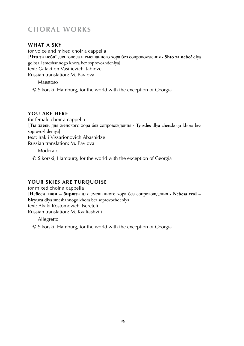#### **WHAT A SKY**

for voice and mixed choir a cappella [**Что за небо!** для голоса и смешанного хора без сопровождения **· Shto za nebo!** dlya golosa i smeshannogo khora bez soprovozhdeniya] text: Galaktion Vasilievich Tabidze Russian translation: M. Pavlova

Maestoso

© Sikorski, Hamburg, for the world with the exception of Georgia

#### **YOU ARE HERE**

for female choir a cappella [**Ты здесь** для женского хора без сопровождения **· Ty zdes** dlya zhenskogo khora bez soprovozhdeniya] text: Irakli Vissarionovich Abashidze Russian translation: M. Pavlova

Moderato

© Sikorski, Hamburg, for the world with the exception of Georgia

### **YOUR SKIES ARE TURQUOISE**

for mixed choir a cappella [**Небеса твои – бирюза** для смешанного хора без сопровождения **· Nebesa tvoi – biryuza** dlya smeshannogo khora bez soprovozhdeniya] text: Akaki Rostomovich Tsereteli Russian translation: M. Kvaliashvili

Allegretto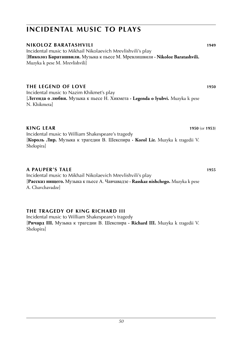### **incidental music to plays**

#### **nikoloz baratashvili 1949** Incidental music to Mikhail Nikolaevich Mrevlishvili's play [**Николоз Бараташвили.** Музыка к пьесе М. Мревлишвили **· Nikoloz Baratashvili.**

Muzyka k pese M. Mrevlishvili]

### **the legend of love 1950**

Incidental music to Nazim Khikmet's play [**Легенда о любви.** Музыка к пьесе Н. Хикмета **· Legenda o lyubvi.** Muzyka k pese N. Khikmeta]

#### **king lear 1950** (or **1953**)

Incidental music to William Shakespeare's tragedy [**Король Лир.** Музыка к трагедии В. Шекспира **· Korol Lir.** Muzyka k tragedii V. Shekspira]

#### **a pauper's tale 1955**

Incidental music to Mikhail Nikolaevich Mrevlishvili's play [**Рассказ нищего.** Музыка к пьесе А. Чавчавадзе **· Rasskaz nishchego.** Muzyka k pese A. Chavchavadze]

#### **THE TRAGEDY OF KING RICHARD III**

Incidental music to William Shakespeare's tragedy [**Ричард III.** Музыка к трагедии В. Шекспира **· Richard III.** Muzyka k tragedii V. Shekspira]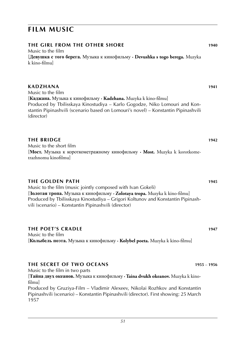### **film music**

#### **the girl from the other shore 1940**

Music to the film [**Девушка с того берега.** Музыка к кинофильму **· Devushka s togo berega.** Muzyka k kino-filmu]

#### **kadzhana 1941**

Music to the film [**Каджана.** Музыка к кинофильму **· Kadzhana.** Muzyka k kino-filmu] Produced by Tbilisskaya Kinostudiya – Karlo Gogodze, Niko Lomouri and Konstantin Pipinashvili (scenario based on Lomouri's novel) – Konstantin Pipinashvili (director)

### **the bridge is a set of the bridge in the bridge in the bridge in the bridge in the bridge in the bridge in the bridge in the bridge in the bridge in the bridge in the bridge in the bridge in the bridge in the bridge in th**

Music to the short film [**Мост.** Музыка к короткометражному кинофильму **· Most.** Muzyka k korotkometrazhnomu kinofilmu]

#### **the golden path 1945**

Music to the film (music jointly composed with Ivan Gokeli) [**Золотая тропа.** Музыка к кинофильму **· Zolotaya tropa.** Muzyka k kino-filmu] Produced by Tbilisskaya Kinostudiya – Grigori Koltunov and Konstantin Pipinashvili (scenario) – Konstantin Pipinashvili (director)

#### **the poet's cradle 1947**

Music to the film [**Колыбель поэта.** Музыка к кинофильму **· Kolybel poeta.** Muzyka k kino-filmu]

#### **the secret of two oceans 1955** – **1956**

Music to the film in two parts [**Тайна двух океанов.** Музыка к кинофильму **· Taina dvukh okeanov.** Muzyka k kinofilmu] Produced by Gruziya-Film – Vladimir Alexeev, Nikolai Rozhkov and Konstantin Pipinashvili (scenario) – Konstantin Pipinashvili (director). First showing: 25 March 1957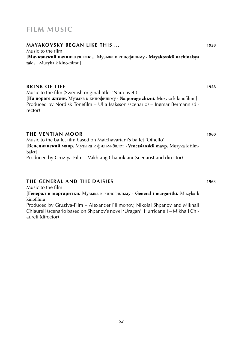### **film music**

#### **Mayakovsky began like this ... 1958**

Music to the film [**Маяковский начинался так ...** Музыка к кинофильму **· Mayakovskii nachinalsya tak ...** Muzyka k kino-filmu]

#### **brink of life 1958**

Music to the film (Swedish original title: 'Nära livet')

[**На пороге жизни.** Музыка к кинофильму **· Na poroge zhizni.** Muzyka k kinofilmu] Produced by Nordisk Tonefilm – Ulla Isaksson (scenario) – Ingmar Bermann (director)

#### **the ventian moor 1960**

aureli (director)

Music to the ballet film based on Matchavariani's ballet 'Othello' [**Венецианский мавр.** Музыка к фильм-балет **· Venetsianskii mavp.** Muzyka k filmbalet] Produced by Gruziya-Film – Vakhtang Chabukiani (scenarist and director)

#### **the general and the daisies 1963**

Music to the film [**Генерал и маргаритки.** Музыка к кинофильму **· General i margaritki.** Muzyka k kinofilmu] Produced by Gruziya-Film – Alexander Filimonov, Nikolai Shpanov and Mikhail Chiaureli (scenario based on Shpanov's novel 'Uragan' [Hurricane]) – Mikhail Chi-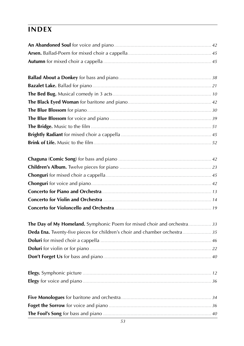## **index**

| The Day of My Homeland. Symphonic Poem for mixed choir and orchestra33    |  |
|---------------------------------------------------------------------------|--|
| Deda Ena. Twenty-five pieces for children's choir and chamber orchestra35 |  |
|                                                                           |  |
|                                                                           |  |
|                                                                           |  |
|                                                                           |  |
|                                                                           |  |
|                                                                           |  |
|                                                                           |  |
|                                                                           |  |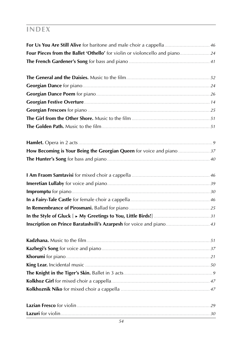## **index**

| Four Pieces from the Ballet 'Othello' for violin or violoncello and piano 24 |  |
|------------------------------------------------------------------------------|--|
|                                                                              |  |
|                                                                              |  |
|                                                                              |  |
|                                                                              |  |
|                                                                              |  |
|                                                                              |  |
|                                                                              |  |
|                                                                              |  |
|                                                                              |  |
|                                                                              |  |
|                                                                              |  |
|                                                                              |  |
|                                                                              |  |
|                                                                              |  |
|                                                                              |  |
|                                                                              |  |
|                                                                              |  |
| Inscription on Prince Baratashvili's Azarpesh for voice and piano 43         |  |
|                                                                              |  |
|                                                                              |  |
|                                                                              |  |
|                                                                              |  |
|                                                                              |  |
|                                                                              |  |
|                                                                              |  |
|                                                                              |  |
|                                                                              |  |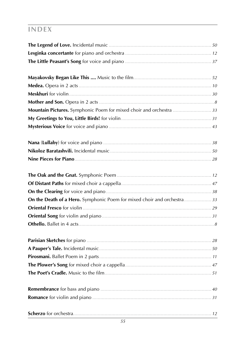## **INDEX**

| Mountain Pictures. Symphonic Poem for mixed choir and orchestra 33     |  |
|------------------------------------------------------------------------|--|
|                                                                        |  |
|                                                                        |  |
|                                                                        |  |
|                                                                        |  |
|                                                                        |  |
|                                                                        |  |
|                                                                        |  |
|                                                                        |  |
| On the Death of a Hero. Symphonic Poem for mixed choir and orchestra33 |  |
|                                                                        |  |
|                                                                        |  |
|                                                                        |  |
|                                                                        |  |
|                                                                        |  |
|                                                                        |  |
|                                                                        |  |
|                                                                        |  |
|                                                                        |  |
|                                                                        |  |
|                                                                        |  |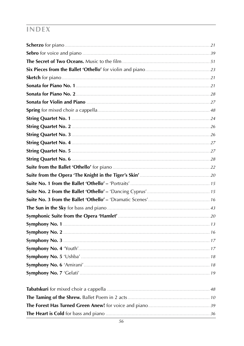## **INDEX**